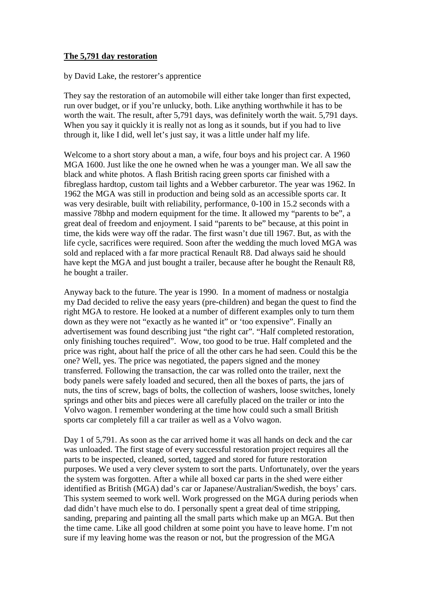## **The 5,791 day restoration**

by David Lake, the restorer's apprentice

They say the restoration of an automobile will either take longer than first expected, run over budget, or if you're unlucky, both. Like anything worthwhile it has to be worth the wait. The result, after 5,791 days, was definitely worth the wait. 5,791 days. When you say it quickly it is really not as long as it sounds, but if you had to live through it, like I did, well let's just say, it was a little under half my life.

Welcome to a short story about a man, a wife, four boys and his project car. A 1960 MGA 1600. Just like the one he owned when he was a younger man. We all saw the black and white photos. A flash British racing green sports car finished with a fibreglass hardtop, custom tail lights and a Webber carburetor. The year was 1962. In 1962 the MGA was still in production and being sold as an accessible sports car. It was very desirable, built with reliability, performance, 0-100 in 15.2 seconds with a massive 78bhp and modern equipment for the time. It allowed my "parents to be", a great deal of freedom and enjoyment. I said "parents to be" because, at this point in time, the kids were way off the radar. The first wasn't due till 1967. But, as with the life cycle, sacrifices were required. Soon after the wedding the much loved MGA was sold and replaced with a far more practical Renault R8. Dad always said he should have kept the MGA and just bought a trailer, because after he bought the Renault R8, he bought a trailer.

Anyway back to the future. The year is 1990. In a moment of madness or nostalgia my Dad decided to relive the easy years (pre-children) and began the quest to find the right MGA to restore. He looked at a number of different examples only to turn them down as they were not "exactly as he wanted it" or 'too expensive". Finally an advertisement was found describing just "the right car". "Half completed restoration, only finishing touches required". Wow, too good to be true. Half completed and the price was right, about half the price of all the other cars he had seen. Could this be the one? Well, yes. The price was negotiated, the papers signed and the money transferred. Following the transaction, the car was rolled onto the trailer, next the body panels were safely loaded and secured, then all the boxes of parts, the jars of nuts, the tins of screw, bags of bolts, the collection of washers, loose switches, lonely springs and other bits and pieces were all carefully placed on the trailer or into the Volvo wagon. I remember wondering at the time how could such a small British sports car completely fill a car trailer as well as a Volvo wagon.

Day 1 of 5,791. As soon as the car arrived home it was all hands on deck and the car was unloaded. The first stage of every successful restoration project requires all the parts to be inspected, cleaned, sorted, tagged and stored for future restoration purposes. We used a very clever system to sort the parts. Unfortunately, over the years the system was forgotten. After a while all boxed car parts in the shed were either identified as British (MGA) dad's car or Japanese/Australian/Swedish, the boys' cars. This system seemed to work well. Work progressed on the MGA during periods when dad didn't have much else to do. I personally spent a great deal of time stripping, sanding, preparing and painting all the small parts which make up an MGA. But then the time came. Like all good children at some point you have to leave home. I'm not sure if my leaving home was the reason or not, but the progression of the MGA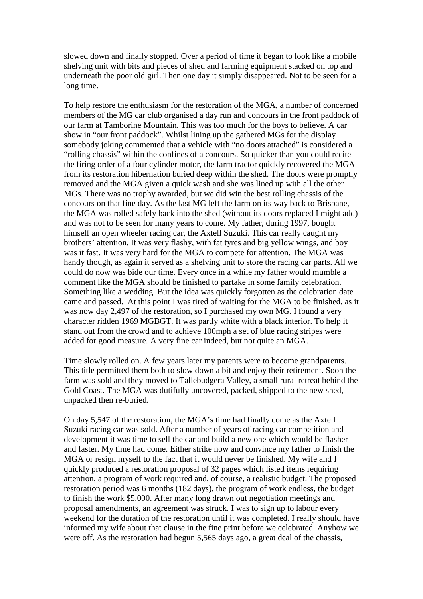slowed down and finally stopped. Over a period of time it began to look like a mobile shelving unit with bits and pieces of shed and farming equipment stacked on top and underneath the poor old girl. Then one day it simply disappeared. Not to be seen for a long time.

To help restore the enthusiasm for the restoration of the MGA, a number of concerned members of the MG car club organised a day run and concours in the front paddock of our farm at Tamborine Mountain. This was too much for the boys to believe. A car show in "our front paddock". Whilst lining up the gathered MGs for the display somebody joking commented that a vehicle with "no doors attached" is considered a "rolling chassis" within the confines of a concours. So quicker than you could recite the firing order of a four cylinder motor, the farm tractor quickly recovered the MGA from its restoration hibernation buried deep within the shed. The doors were promptly removed and the MGA given a quick wash and she was lined up with all the other MGs. There was no trophy awarded, but we did win the best rolling chassis of the concours on that fine day. As the last MG left the farm on its way back to Brisbane, the MGA was rolled safely back into the shed (without its doors replaced I might add) and was not to be seen for many years to come. My father, during 1997, bought himself an open wheeler racing car, the Axtell Suzuki. This car really caught my brothers' attention. It was very flashy, with fat tyres and big yellow wings, and boy was it fast. It was very hard for the MGA to compete for attention. The MGA was handy though, as again it served as a shelving unit to store the racing car parts. All we could do now was bide our time. Every once in a while my father would mumble a comment like the MGA should be finished to partake in some family celebration. Something like a wedding. But the idea was quickly forgotten as the celebration date came and passed. At this point I was tired of waiting for the MGA to be finished, as it was now day 2,497 of the restoration, so I purchased my own MG. I found a very character ridden 1969 MGBGT. It was partly white with a black interior. To help it stand out from the crowd and to achieve 100mph a set of blue racing stripes were added for good measure. A very fine car indeed, but not quite an MGA.

Time slowly rolled on. A few years later my parents were to become grandparents. This title permitted them both to slow down a bit and enjoy their retirement. Soon the farm was sold and they moved to Tallebudgera Valley, a small rural retreat behind the Gold Coast. The MGA was dutifully uncovered, packed, shipped to the new shed, unpacked then re-buried.

On day 5,547 of the restoration, the MGA's time had finally come as the Axtell Suzuki racing car was sold. After a number of years of racing car competition and development it was time to sell the car and build a new one which would be flasher and faster. My time had come. Either strike now and convince my father to finish the MGA or resign myself to the fact that it would never be finished. My wife and I quickly produced a restoration proposal of 32 pages which listed items requiring attention, a program of work required and, of course, a realistic budget. The proposed restoration period was 6 months (182 days), the program of work endless, the budget to finish the work \$5,000. After many long drawn out negotiation meetings and proposal amendments, an agreement was struck. I was to sign up to labour every weekend for the duration of the restoration until it was completed. I really should have informed my wife about that clause in the fine print before we celebrated. Anyhow we were off. As the restoration had begun 5,565 days ago, a great deal of the chassis,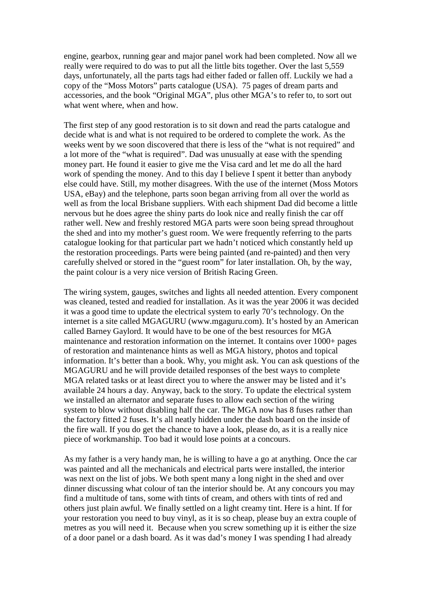engine, gearbox, running gear and major panel work had been completed. Now all we really were required to do was to put all the little bits together. Over the last 5,559 days, unfortunately, all the parts tags had either faded or fallen off. Luckily we had a copy of the "Moss Motors" parts catalogue (USA). 75 pages of dream parts and accessories, and the book "Original MGA", plus other MGA's to refer to, to sort out what went where, when and how.

The first step of any good restoration is to sit down and read the parts catalogue and decide what is and what is not required to be ordered to complete the work. As the weeks went by we soon discovered that there is less of the "what is not required" and a lot more of the "what is required". Dad was unusually at ease with the spending money part. He found it easier to give me the Visa card and let me do all the hard work of spending the money. And to this day I believe I spent it better than anybody else could have. Still, my mother disagrees. With the use of the internet (Moss Motors USA, eBay) and the telephone, parts soon began arriving from all over the world as well as from the local Brisbane suppliers. With each shipment Dad did become a little nervous but he does agree the shiny parts do look nice and really finish the car off rather well. New and freshly restored MGA parts were soon being spread throughout the shed and into my mother's guest room. We were frequently referring to the parts catalogue looking for that particular part we hadn't noticed which constantly held up the restoration proceedings. Parts were being painted (and re-painted) and then very carefully shelved or stored in the "guest room" for later installation. Oh, by the way, the paint colour is a very nice version of British Racing Green.

The wiring system, gauges, switches and lights all needed attention. Every component was cleaned, tested and readied for installation. As it was the year 2006 it was decided it was a good time to update the electrical system to early 70's technology. On the internet is a site called MGAGURU (www.mgaguru.com). It's hosted by an American called Barney Gaylord. It would have to be one of the best resources for MGA maintenance and restoration information on the internet. It contains over 1000+ pages of restoration and maintenance hints as well as MGA history, photos and topical information. It's better than a book. Why, you might ask. You can ask questions of the MGAGURU and he will provide detailed responses of the best ways to complete MGA related tasks or at least direct you to where the answer may be listed and it's available 24 hours a day. Anyway, back to the story. To update the electrical system we installed an alternator and separate fuses to allow each section of the wiring system to blow without disabling half the car. The MGA now has 8 fuses rather than the factory fitted 2 fuses. It's all neatly hidden under the dash board on the inside of the fire wall. If you do get the chance to have a look, please do, as it is a really nice piece of workmanship. Too bad it would lose points at a concours.

As my father is a very handy man, he is willing to have a go at anything. Once the car was painted and all the mechanicals and electrical parts were installed, the interior was next on the list of jobs. We both spent many a long night in the shed and over dinner discussing what colour of tan the interior should be. At any concours you may find a multitude of tans, some with tints of cream, and others with tints of red and others just plain awful. We finally settled on a light creamy tint. Here is a hint. If for your restoration you need to buy vinyl, as it is so cheap, please buy an extra couple of metres as you will need it. Because when you screw something up it is either the size of a door panel or a dash board. As it was dad's money I was spending I had already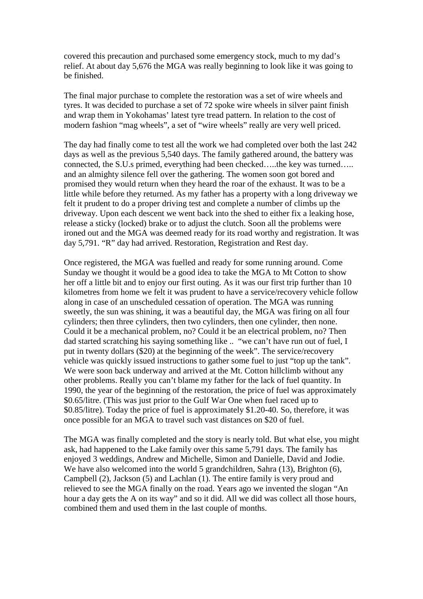covered this precaution and purchased some emergency stock, much to my dad's relief. At about day 5,676 the MGA was really beginning to look like it was going to be finished.

The final major purchase to complete the restoration was a set of wire wheels and tyres. It was decided to purchase a set of 72 spoke wire wheels in silver paint finish and wrap them in Yokohamas' latest tyre tread pattern. In relation to the cost of modern fashion "mag wheels", a set of "wire wheels" really are very well priced.

The day had finally come to test all the work we had completed over both the last 242 days as well as the previous 5,540 days. The family gathered around, the battery was connected, the S.U.s primed, everything had been checked…..the key was turned….. and an almighty silence fell over the gathering. The women soon got bored and promised they would return when they heard the roar of the exhaust. It was to be a little while before they returned. As my father has a property with a long driveway we felt it prudent to do a proper driving test and complete a number of climbs up the driveway. Upon each descent we went back into the shed to either fix a leaking hose, release a sticky (locked) brake or to adjust the clutch. Soon all the problems were ironed out and the MGA was deemed ready for its road worthy and registration. It was day 5,791. "R" day had arrived. Restoration, Registration and Rest day.

Once registered, the MGA was fuelled and ready for some running around. Come Sunday we thought it would be a good idea to take the MGA to Mt Cotton to show her off a little bit and to enjoy our first outing. As it was our first trip further than 10 kilometres from home we felt it was prudent to have a service/recovery vehicle follow along in case of an unscheduled cessation of operation. The MGA was running sweetly, the sun was shining, it was a beautiful day, the MGA was firing on all four cylinders; then three cylinders, then two cylinders, then one cylinder, then none. Could it be a mechanical problem, no? Could it be an electrical problem, no? Then dad started scratching his saying something like .. "we can't have run out of fuel, I put in twenty dollars (\$20) at the beginning of the week". The service/recovery vehicle was quickly issued instructions to gather some fuel to just "top up the tank". We were soon back underway and arrived at the Mt. Cotton hillclimb without any other problems. Really you can't blame my father for the lack of fuel quantity. In 1990, the year of the beginning of the restoration, the price of fuel was approximately \$0.65/litre. (This was just prior to the Gulf War One when fuel raced up to \$0.85/litre). Today the price of fuel is approximately \$1.20-40. So, therefore, it was once possible for an MGA to travel such vast distances on \$20 of fuel.

The MGA was finally completed and the story is nearly told. But what else, you might ask, had happened to the Lake family over this same 5,791 days. The family has enjoyed 3 weddings, Andrew and Michelle, Simon and Danielle, David and Jodie. We have also welcomed into the world 5 grandchildren, Sahra (13), Brighton (6), Campbell (2), Jackson (5) and Lachlan (1). The entire family is very proud and relieved to see the MGA finally on the road. Years ago we invented the slogan "An hour a day gets the A on its way" and so it did. All we did was collect all those hours, combined them and used them in the last couple of months.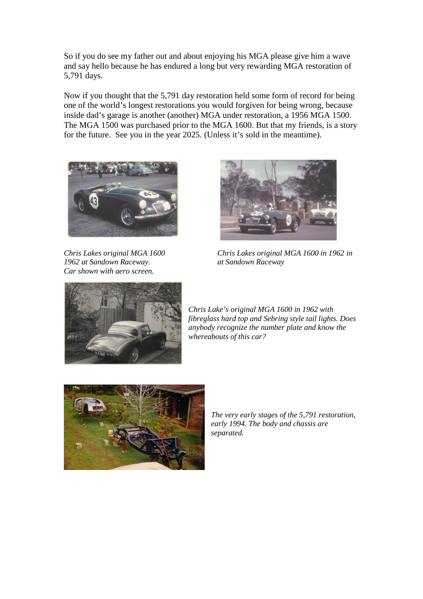So if you do see my father out and about enjoying his MGA please give him a wave and say hello because he has endured a long but very rewarding MGA restoration of 5,791 days.

Now if you thought that the 5,791 day restoration held some form of record for being one of the world's longest restorations you would forgiven for being wrong, because inside dad's garage is another (another) MGA under restoration, a 1956 MGA 1500. The MGA 1500 was purchased prior to the MGA 1600. But that my friends, is a story for the future. See you in the year 2025. (Unless it's sold in the meantime).



*1962 at Sandown Raceway. at Sandown Raceway Car shown with aero screen.*



*Chris Lakes original MGA 1600 Chris Lakes original MGA 1600 in 1962 in*



*Chris Lake's original MGA 1600 in 1962 with fibreglass hard top and Sebring style tail lights. Does anybody recognize the number plate and know the whereabouts of this car?*



*The very early stages of the 5,791 restoration, early 1994. The body and chassis are separated.*